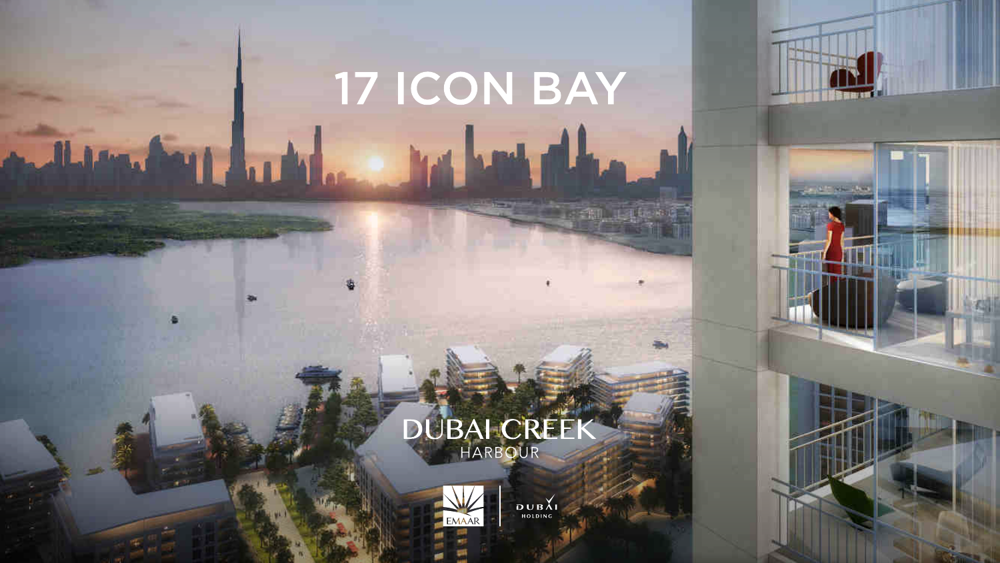



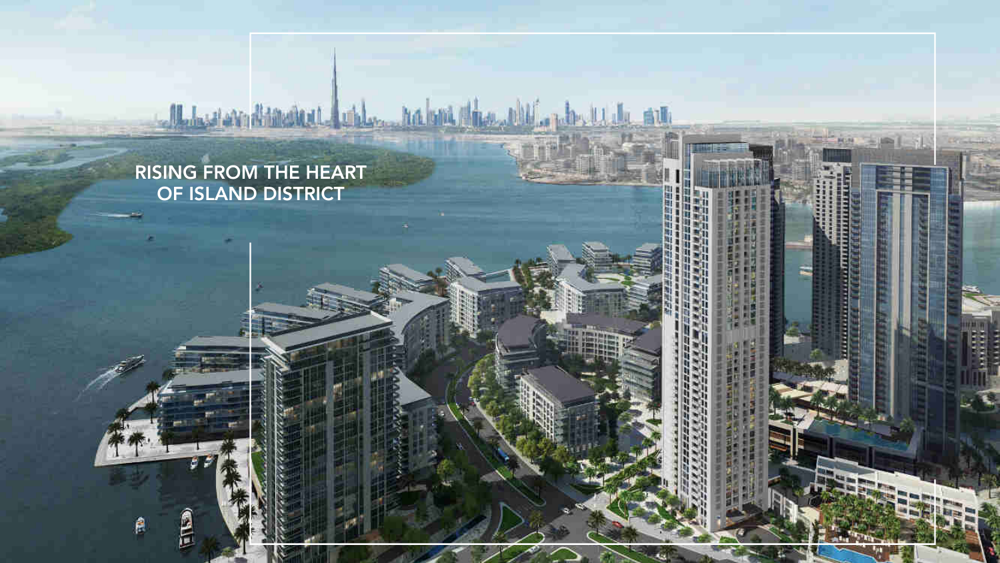### RISING FROM THE HEART OF ISLAND DISTRICT

Ê

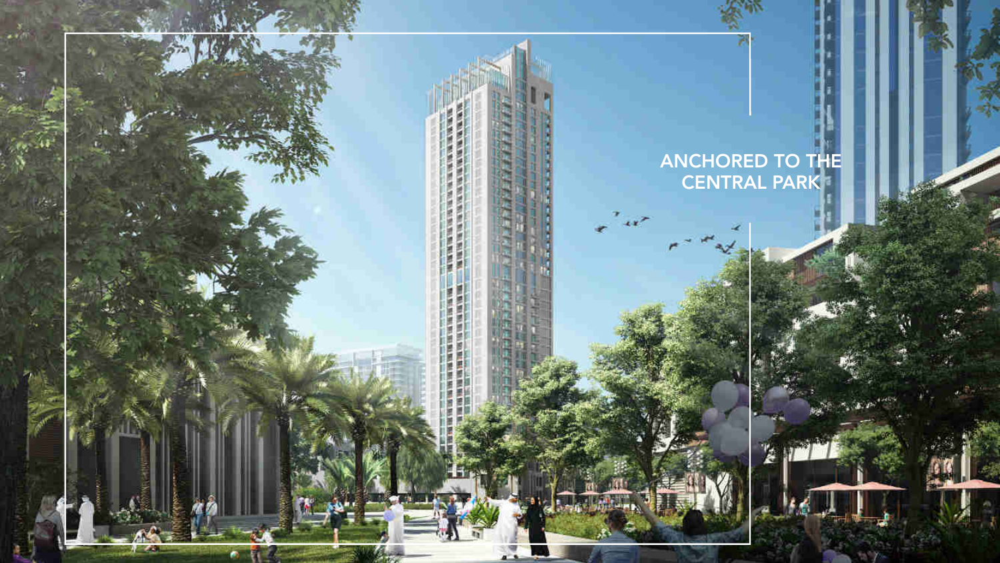

## ANCHORED TO THE CENTRAL PARK

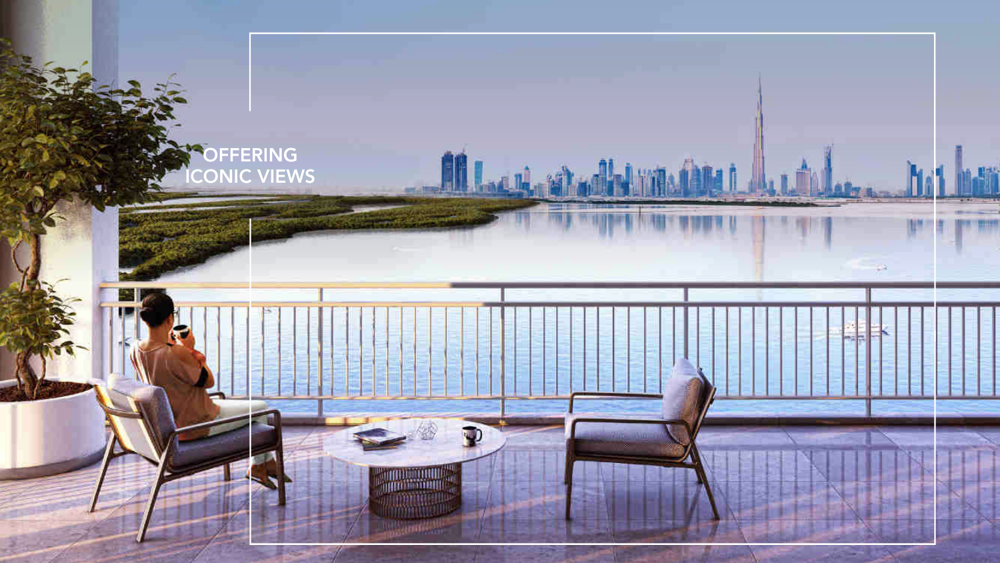### OFFERING **C VIEWS**

43

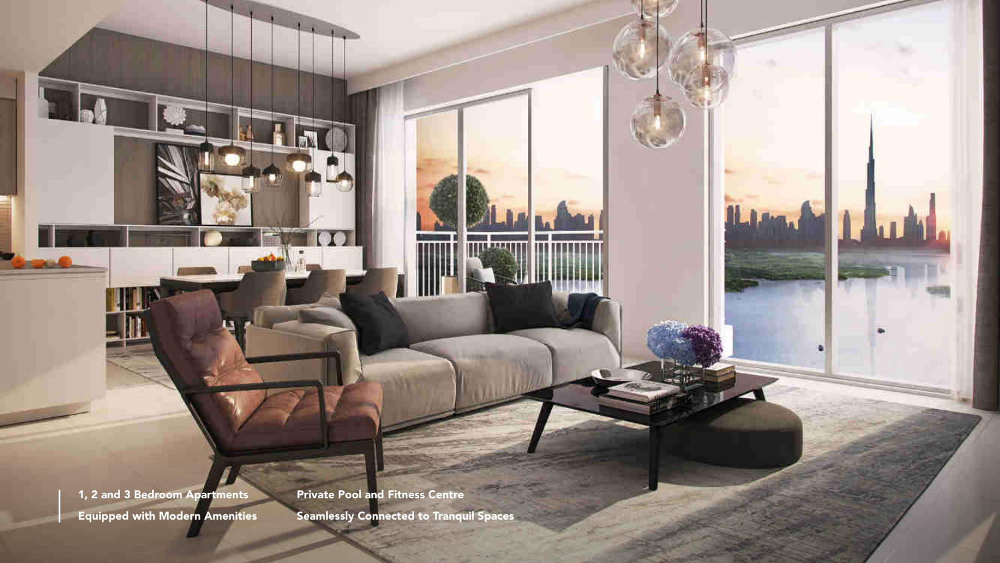1, 2 and 3 Bedroom Apartments Equipped with Modern Amenities

**THE REAL** 

Private Pool and Fitness Centre Seamlessly Connected to Tranquil Spaces



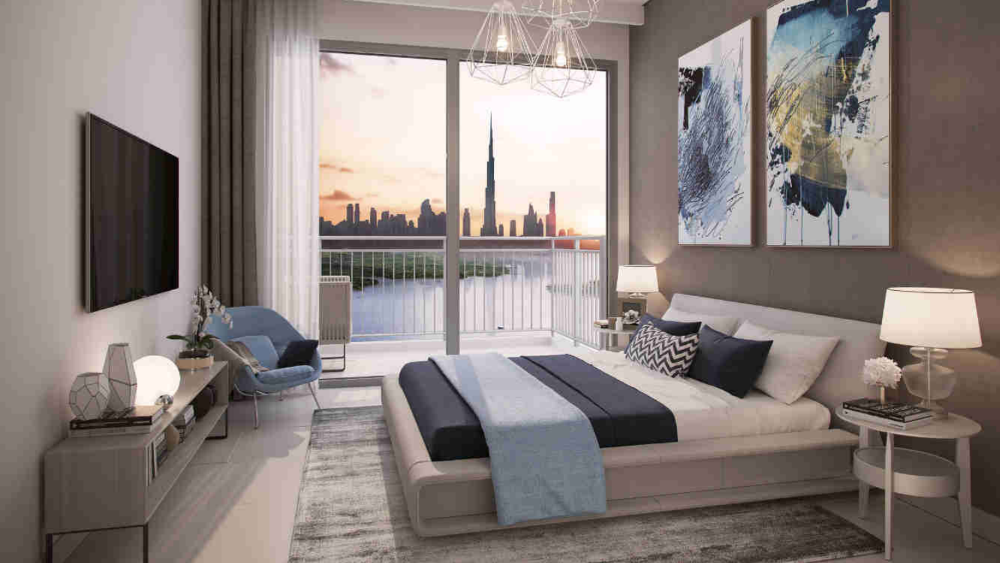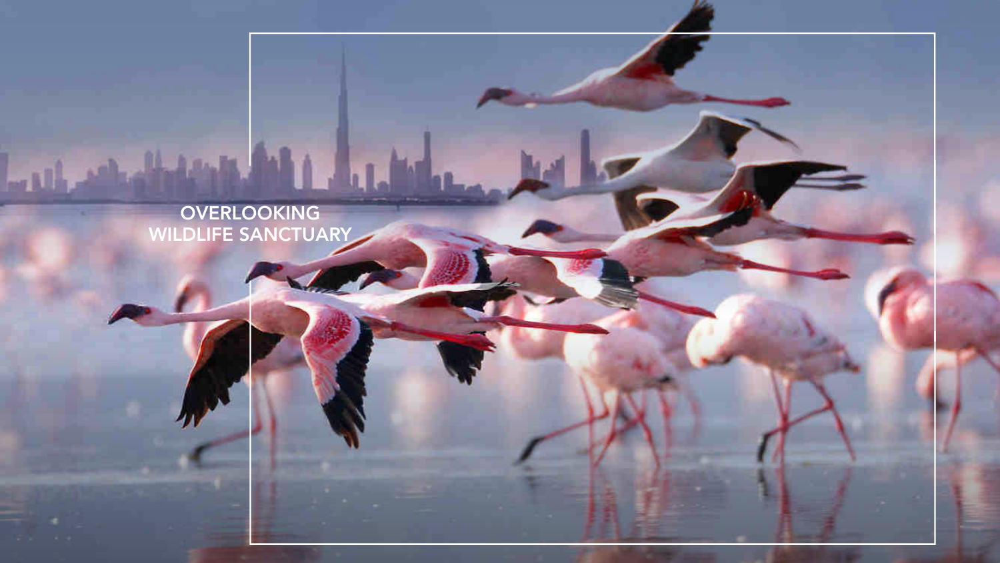### **OVERLOOKING** WILDLIFE SANCTUARY

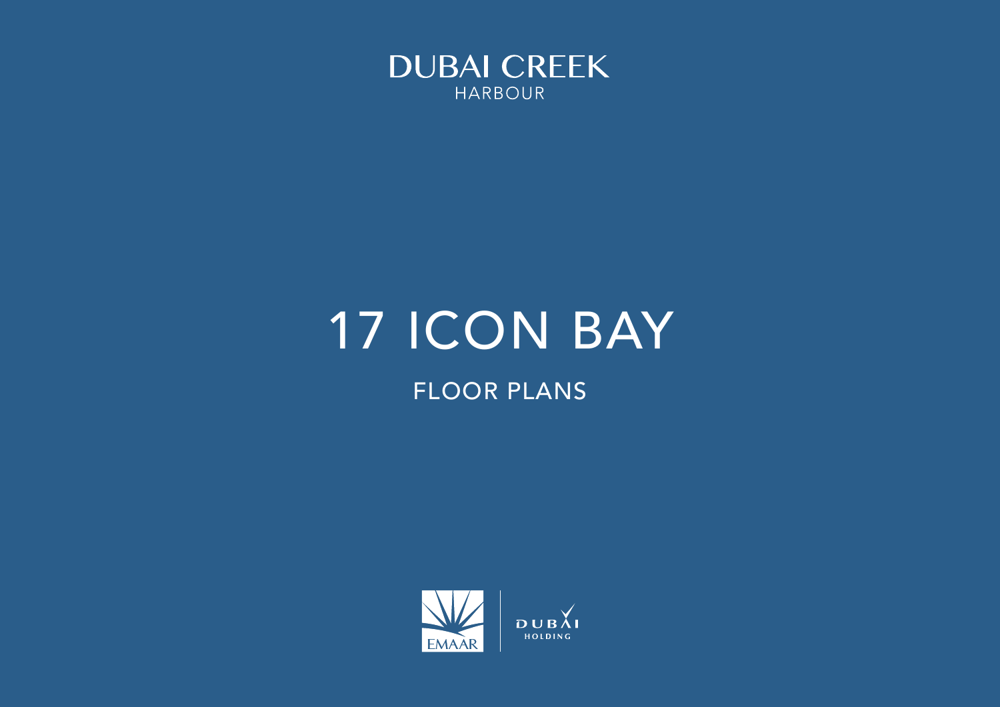![](_page_7_Picture_0.jpeg)

# 17 ICON BAY

FLOOR PLANS

![](_page_7_Picture_3.jpeg)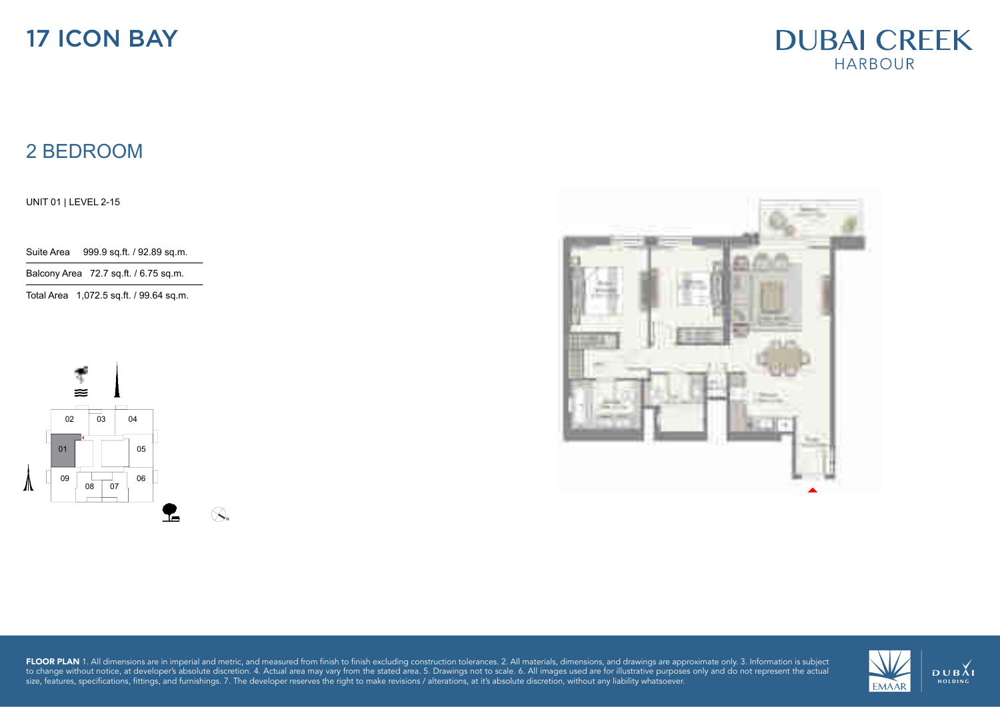![](_page_8_Picture_0.jpeg)

![](_page_8_Picture_1.jpeg)

UNIT 01 | LEVEL 2-15

Suite Area 999.9 sq.ft. / 92.89 sq.m.

Balcony Area 72.7 sq.ft. / 6.75 sq.m.

Total Area 1,072.5 sq.ft. / 99.64 sq.m.

![](_page_8_Figure_7.jpeg)

![](_page_8_Picture_8.jpeg)

![](_page_8_Picture_10.jpeg)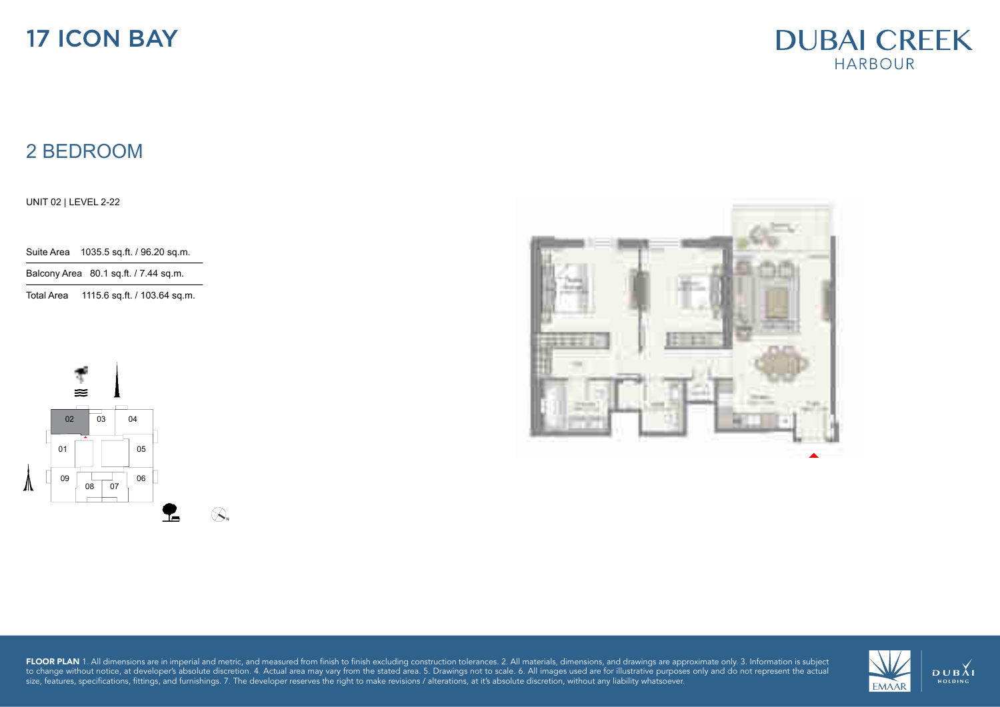![](_page_9_Picture_0.jpeg)

![](_page_9_Picture_1.jpeg)

UNIT 02 | LEVEL 2-22

Suite Area 1035.5 sq.ft. / 96.20 sq.m.

Balcony Area 80.1 sq.ft. / 7.44 sq.m.

Total Area 1115.6 sq.ft. / 103.64 sq.m.

![](_page_9_Figure_7.jpeg)

![](_page_9_Picture_8.jpeg)

![](_page_9_Picture_10.jpeg)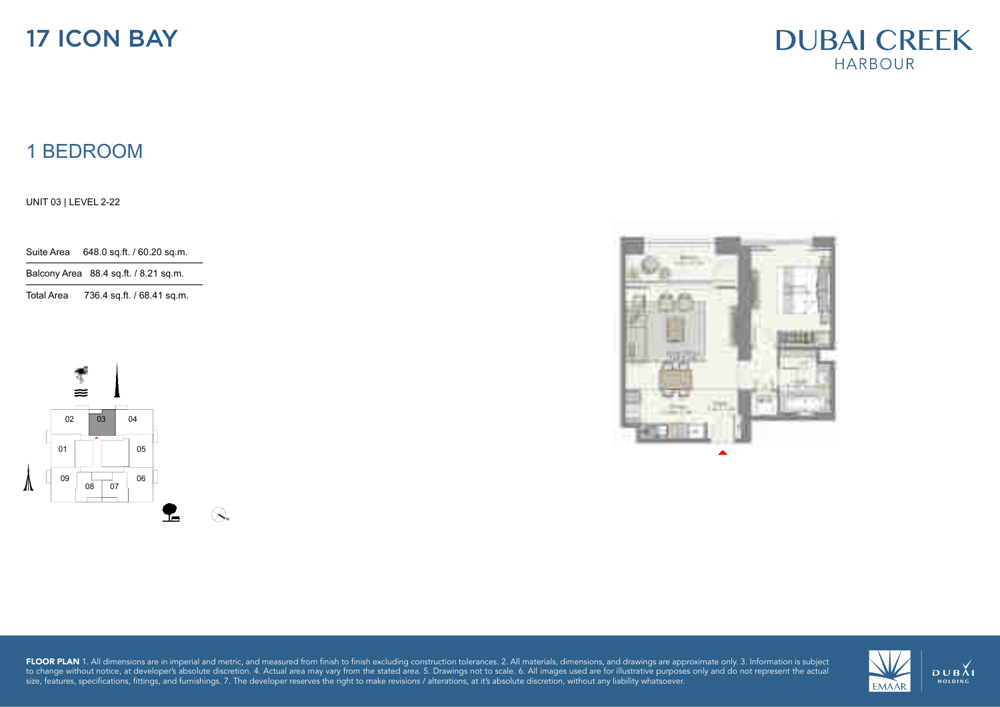![](_page_10_Picture_0.jpeg)

![](_page_10_Picture_1.jpeg)

UNIT 03 | LEVEL 2-22

Suite Area 648.0 sq.ft. / 60.20 sq.m.

Balcony Area 88.4 sq.ft. / 8.21 sq.m.

Total Area 736.4 sq.ft. / 68.41 sq.m.

![](_page_10_Figure_7.jpeg)

![](_page_10_Picture_8.jpeg)

![](_page_10_Picture_10.jpeg)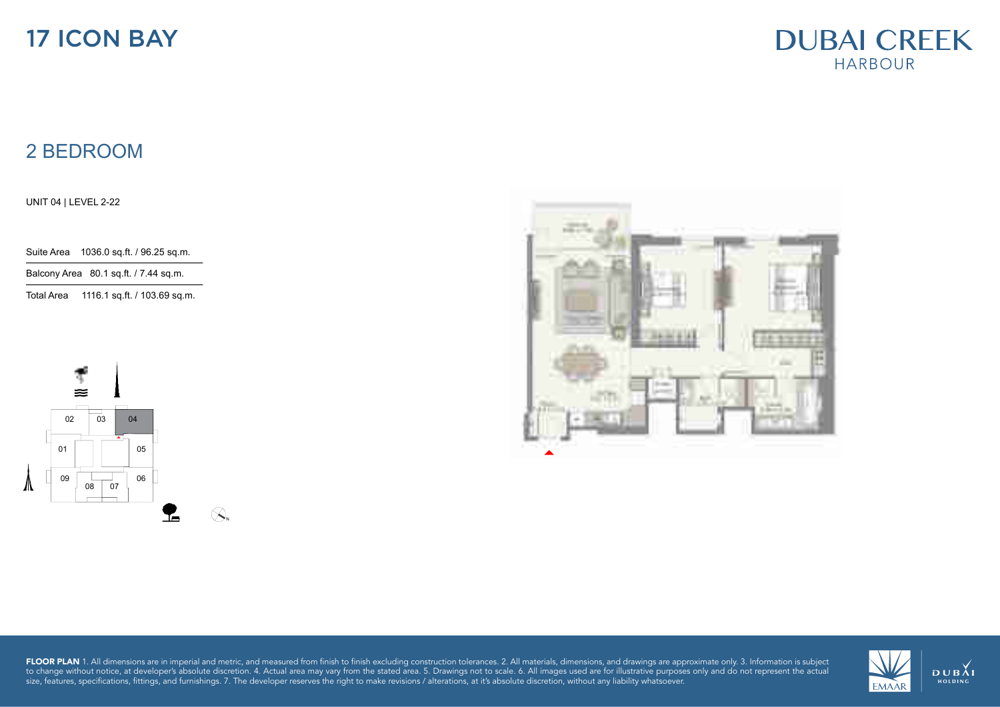![](_page_11_Picture_0.jpeg)

![](_page_11_Picture_1.jpeg)

UNIT 04 | LEVEL 2-22

Suite Area 1036.0 sq.ft. / 96.25 sq.m.

Balcony Area 80.1 sq.ft. / 7.44 sq.m.

Total Area 1116.1 sq.ft. / 103.69 sq.m.

![](_page_11_Figure_7.jpeg)

![](_page_11_Picture_8.jpeg)

![](_page_11_Picture_10.jpeg)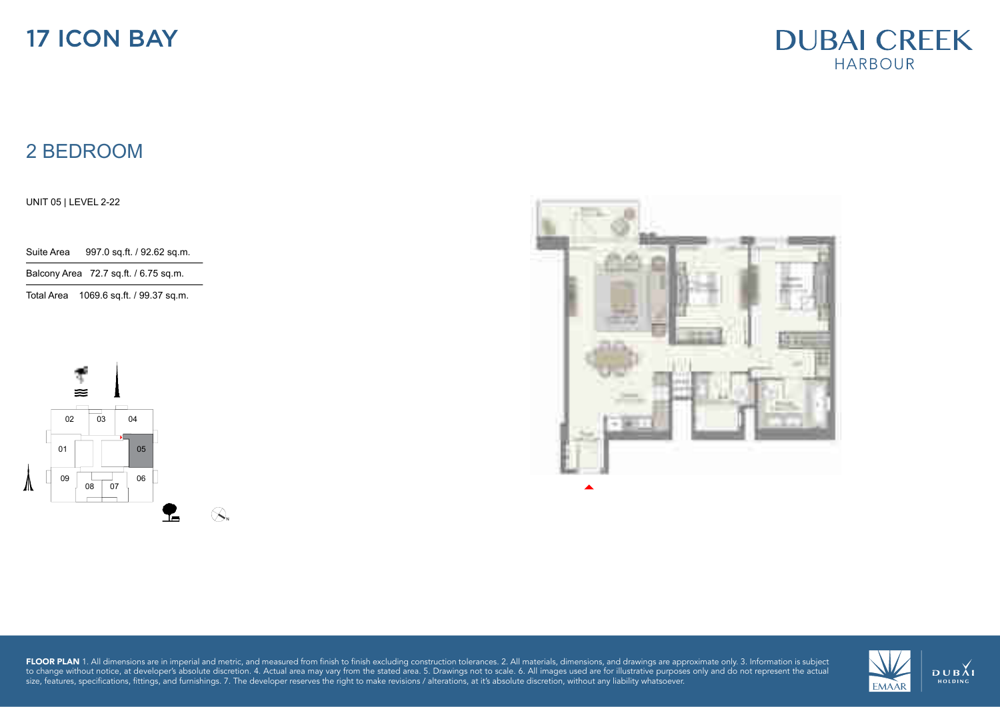![](_page_12_Picture_0.jpeg)

#### **DUBAI CREEK HARBOUR**

#### 2 BEDROOM

UNIT 05 | LEVEL 2-22

Suite Area 997.0 sq.ft. / 92.62 sq.m.

Balcony Area 72.7 sq.ft. / 6.75 sq.m.

Total Area 1069.6 sq.ft. / 99.37 sq.m.

![](_page_12_Figure_7.jpeg)

![](_page_12_Picture_8.jpeg)

![](_page_12_Picture_10.jpeg)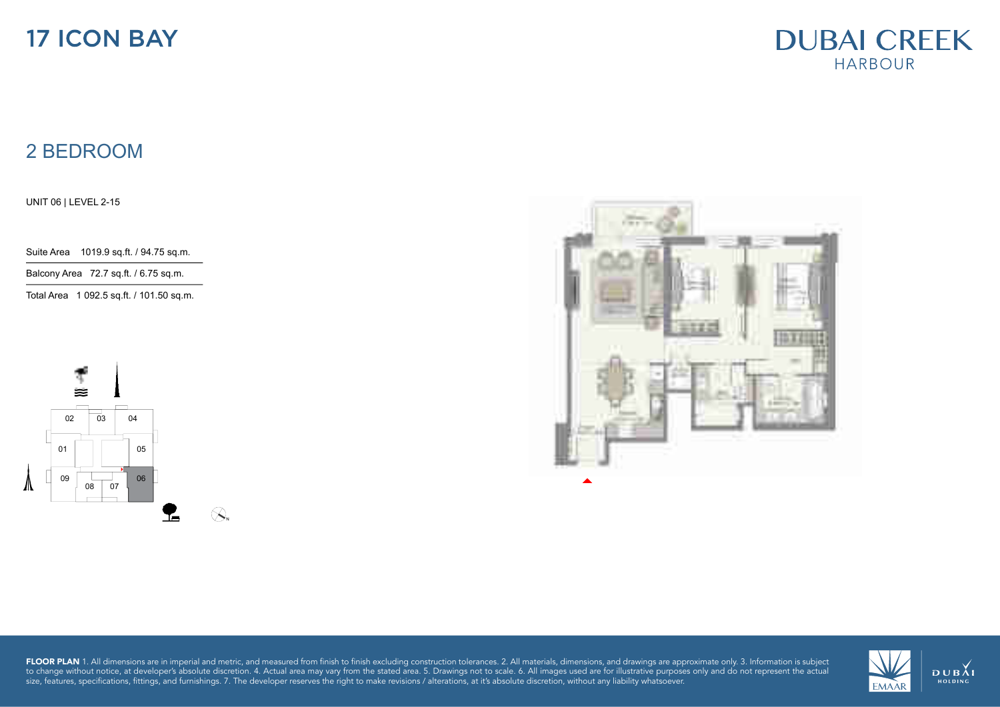![](_page_13_Picture_0.jpeg)

![](_page_13_Picture_1.jpeg)

UNIT 06 | LEVEL 2-15

Suite Area 1019.9 sq.ft. / 94.75 sq.m.

Balcony Area 72.7 sq.ft. / 6.75 sq.m.

Total Area 1 092.5 sq.ft. / 101.50 sq.m.

![](_page_13_Figure_7.jpeg)

![](_page_13_Picture_8.jpeg)

![](_page_13_Picture_10.jpeg)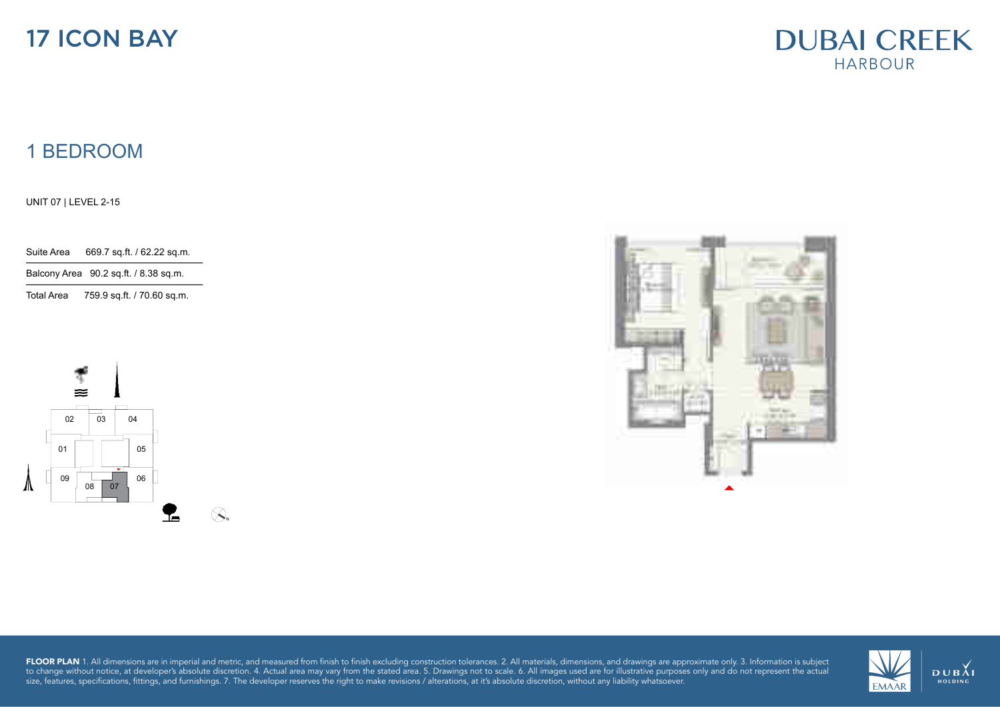![](_page_14_Picture_0.jpeg)

![](_page_14_Picture_1.jpeg)

UNIT 07 | LEVEL 2-15

Suite Area 669.7 sq.ft. / 62.22 sq.m.

Balcony Area 90.2 sq.ft. / 8.38 sq.m.

Total Area 759.9 sq.ft. / 70.60 sq.m.

![](_page_14_Figure_7.jpeg)

![](_page_14_Picture_8.jpeg)

![](_page_14_Picture_10.jpeg)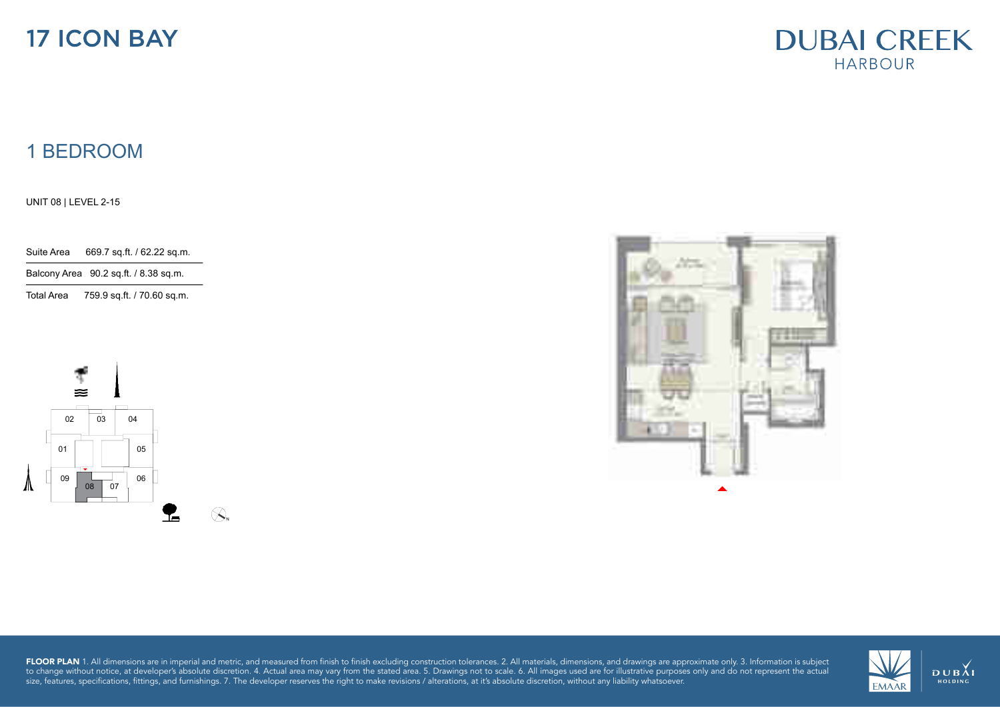![](_page_15_Picture_0.jpeg)

![](_page_15_Picture_1.jpeg)

UNIT 08 | LEVEL 2-15

Suite Area 669.7 sq.ft. / 62.22 sq.m.

Balcony Area 90.2 sq.ft. / 8.38 sq.m.

Total Area 759.9 sq.ft. / 70.60 sq.m.

![](_page_15_Figure_7.jpeg)

![](_page_15_Picture_8.jpeg)

![](_page_15_Picture_10.jpeg)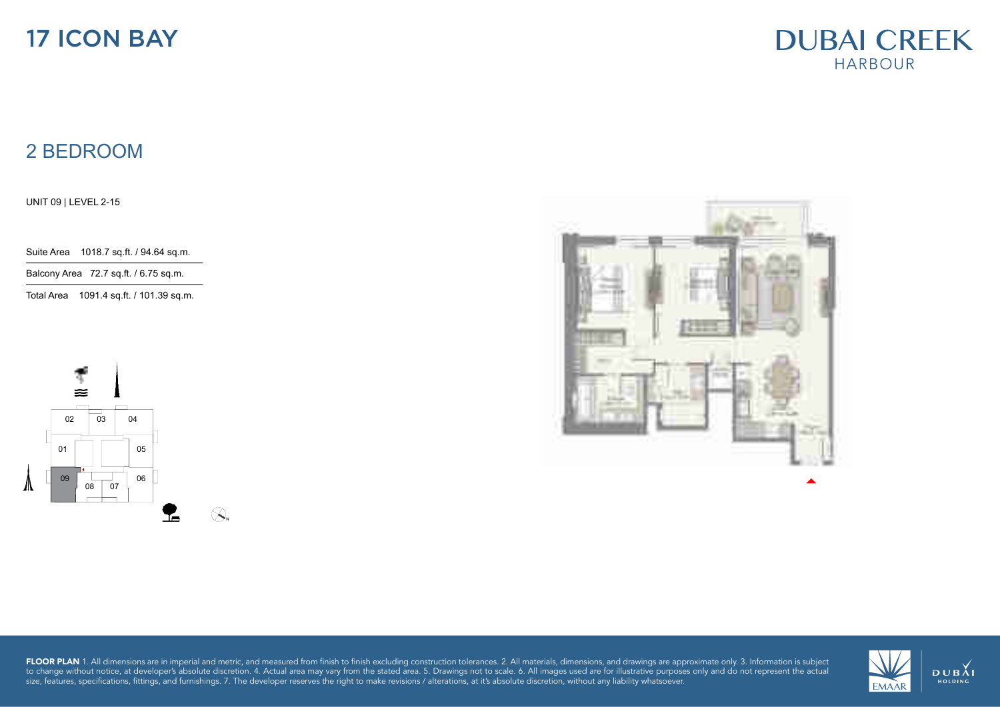![](_page_16_Picture_0.jpeg)

![](_page_16_Picture_1.jpeg)

UNIT 09 | LEVEL 2-15

Suite Area 1018.7 sq.ft. / 94.64 sq.m.

Balcony Area 72.7 sq.ft. / 6.75 sq.m.

Total Area 1091.4 sq.ft. / 101.39 sq.m.

![](_page_16_Figure_7.jpeg)

![](_page_16_Picture_8.jpeg)

![](_page_16_Picture_10.jpeg)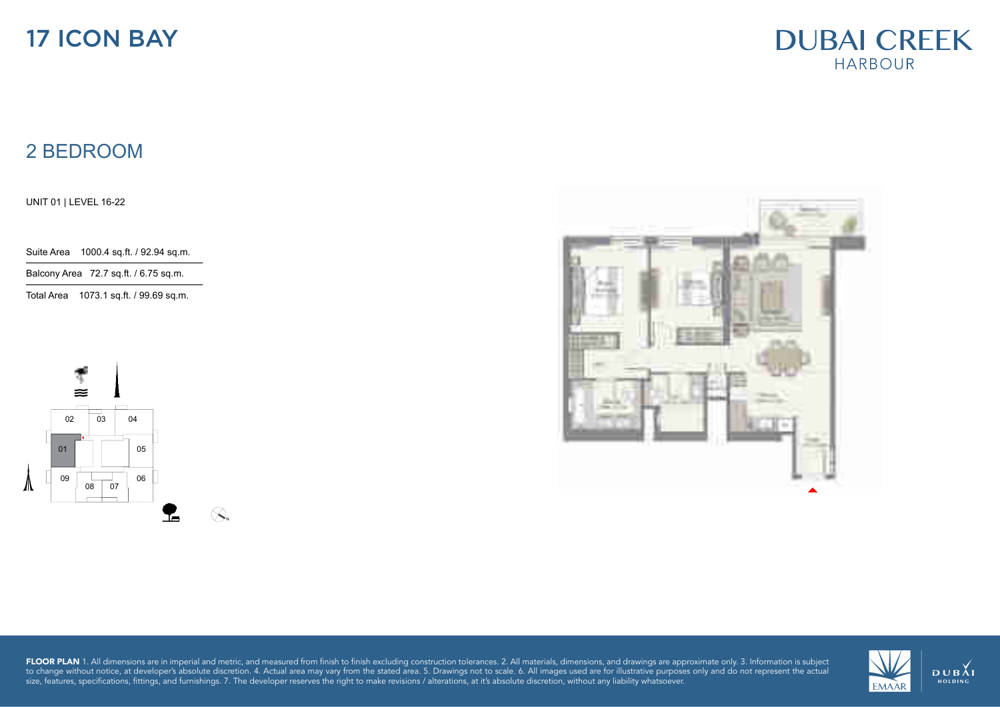![](_page_17_Picture_0.jpeg)

![](_page_17_Picture_1.jpeg)

UNIT 01 | LEVEL 16-22

Suite Area 1000.4 sq.ft. / 92.94 sq.m.

Balcony Area 72.7 sq.ft. / 6.75 sq.m.

Total Area 1073.1 sq.ft. / 99.69 sq.m.

![](_page_17_Figure_7.jpeg)

![](_page_17_Picture_8.jpeg)

![](_page_17_Picture_10.jpeg)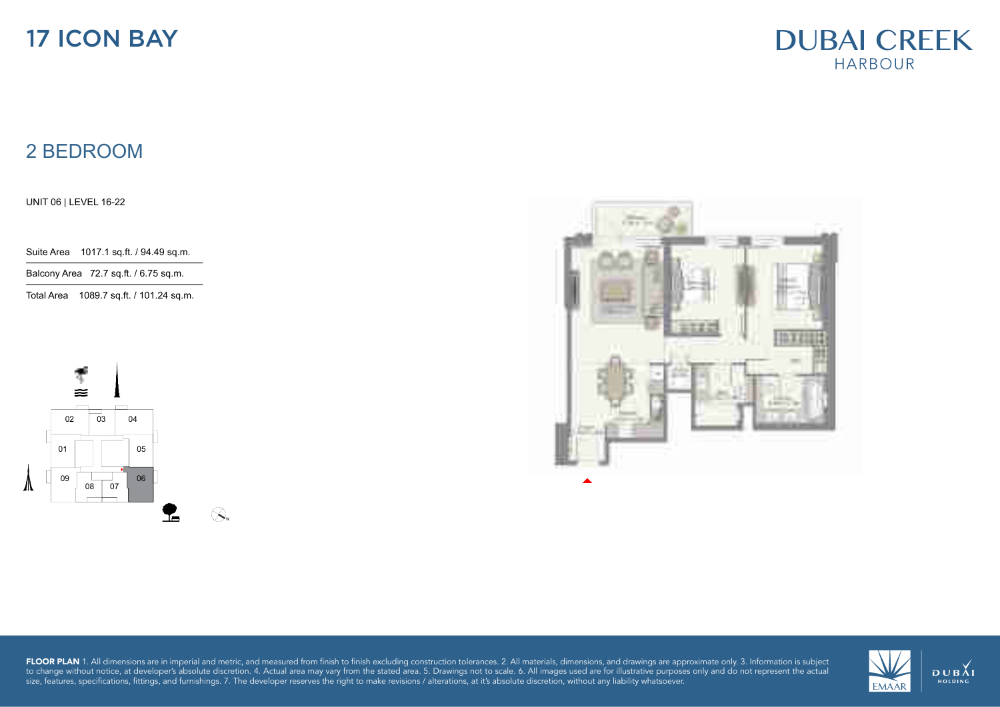![](_page_18_Picture_0.jpeg)

![](_page_18_Picture_1.jpeg)

UNIT 06 | LEVEL 16-22

Suite Area 1017.1 sq.ft. / 94.49 sq.m.

Balcony Area 72.7 sq.ft. / 6.75 sq.m.

Total Area 1089.7 sq.ft. / 101.24 sq.m.

![](_page_18_Figure_7.jpeg)

![](_page_18_Picture_8.jpeg)

![](_page_18_Picture_10.jpeg)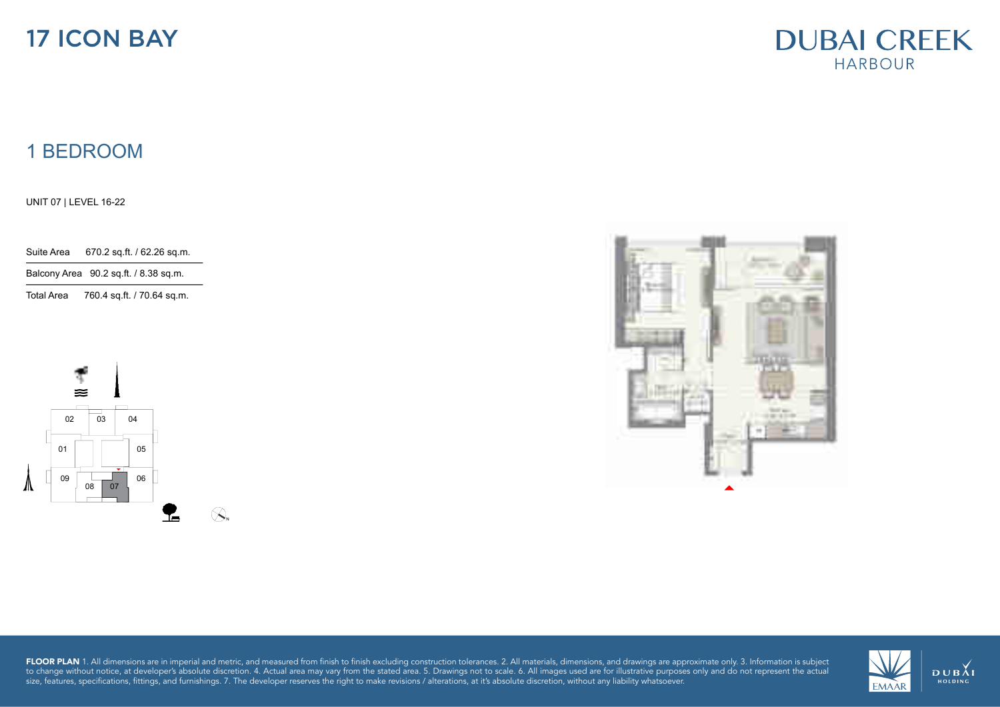![](_page_19_Picture_0.jpeg)

![](_page_19_Picture_1.jpeg)

UNIT 07 | LEVEL 16-22

Suite Area 670.2 sq.ft. / 62.26 sq.m.

Balcony Area 90.2 sq.ft. / 8.38 sq.m.

Total Area 760.4 sq.ft. / 70.64 sq.m.

![](_page_19_Figure_7.jpeg)

![](_page_19_Picture_8.jpeg)

![](_page_19_Picture_10.jpeg)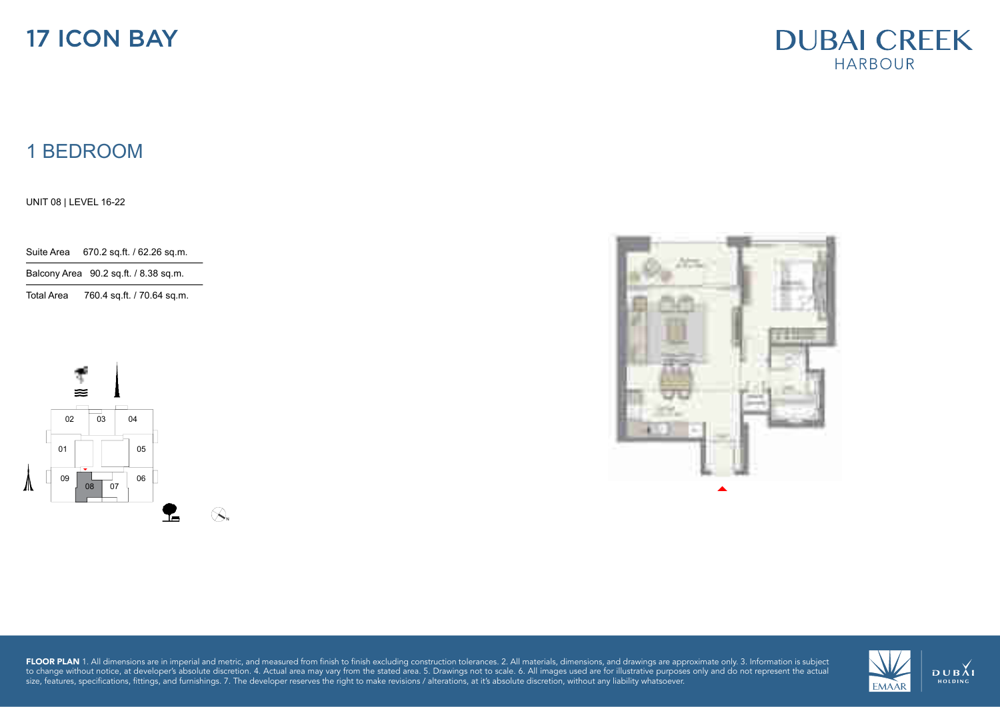![](_page_20_Picture_0.jpeg)

![](_page_20_Picture_1.jpeg)

UNIT 08 | LEVEL 16-22

Suite Area 670.2 sq.ft. / 62.26 sq.m.

Balcony Area 90.2 sq.ft. / 8.38 sq.m.

Total Area 760.4 sq.ft. / 70.64 sq.m.

![](_page_20_Figure_7.jpeg)

![](_page_20_Picture_8.jpeg)

![](_page_20_Picture_10.jpeg)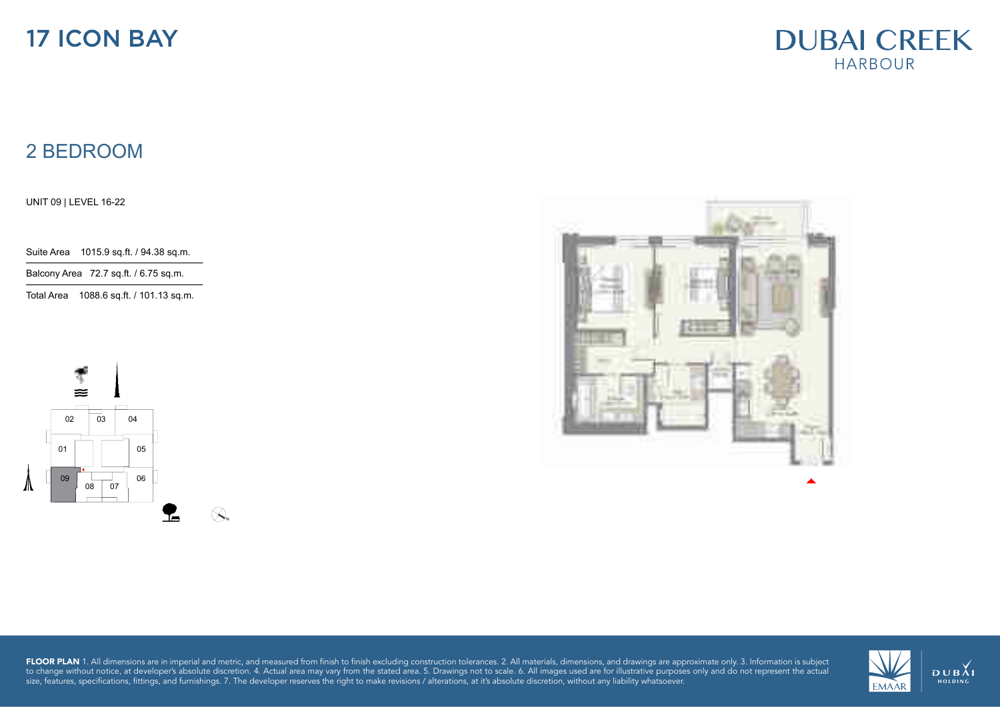![](_page_21_Picture_0.jpeg)

![](_page_21_Picture_1.jpeg)

UNIT 09 | LEVEL 16-22

Suite Area 1015.9 sq.ft. / 94.38 sq.m.

Balcony Area 72.7 sq.ft. / 6.75 sq.m.

Total Area 1088.6 sq.ft. / 101.13 sq.m.

![](_page_21_Figure_7.jpeg)

![](_page_21_Picture_8.jpeg)

![](_page_21_Picture_10.jpeg)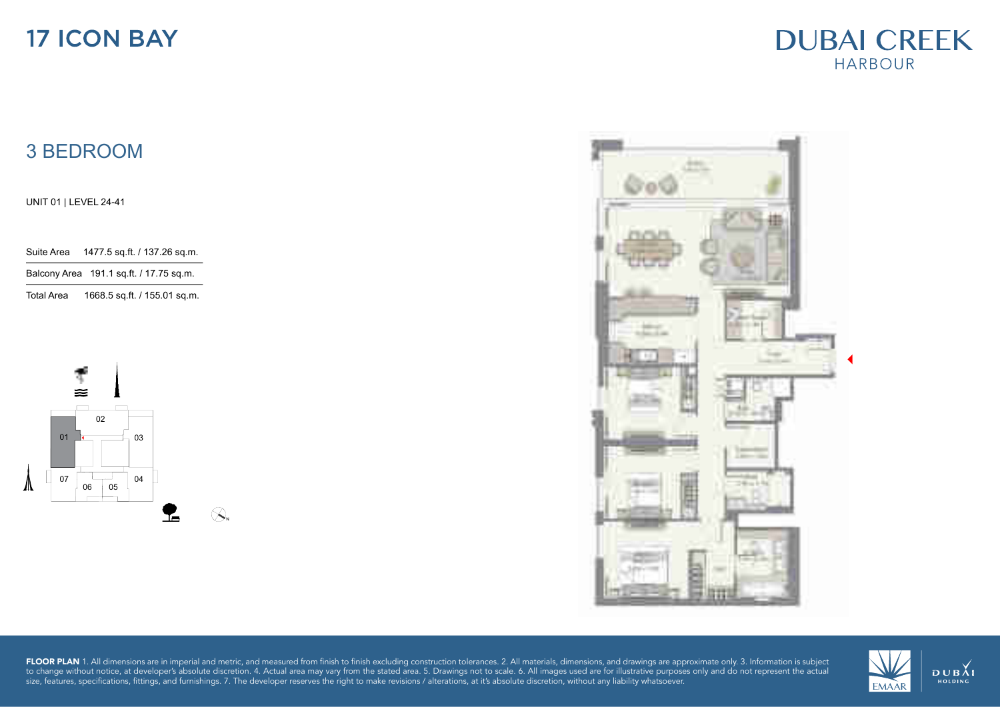![](_page_22_Picture_0.jpeg)

#### **DUBAI CREEK HARBOUR**

#### 3 BEDROOM

UNIT 01 | LEVEL 24-41

Suite Area 1477.5 sq.ft. / 137.26 sq.m. Balcony Area 191.1 sq.ft. / 17.75 sq.m.

Total Area 1668.5 sq.ft. / 155.01 sq.m.

![](_page_22_Figure_6.jpeg)

![](_page_22_Picture_7.jpeg)

![](_page_22_Picture_9.jpeg)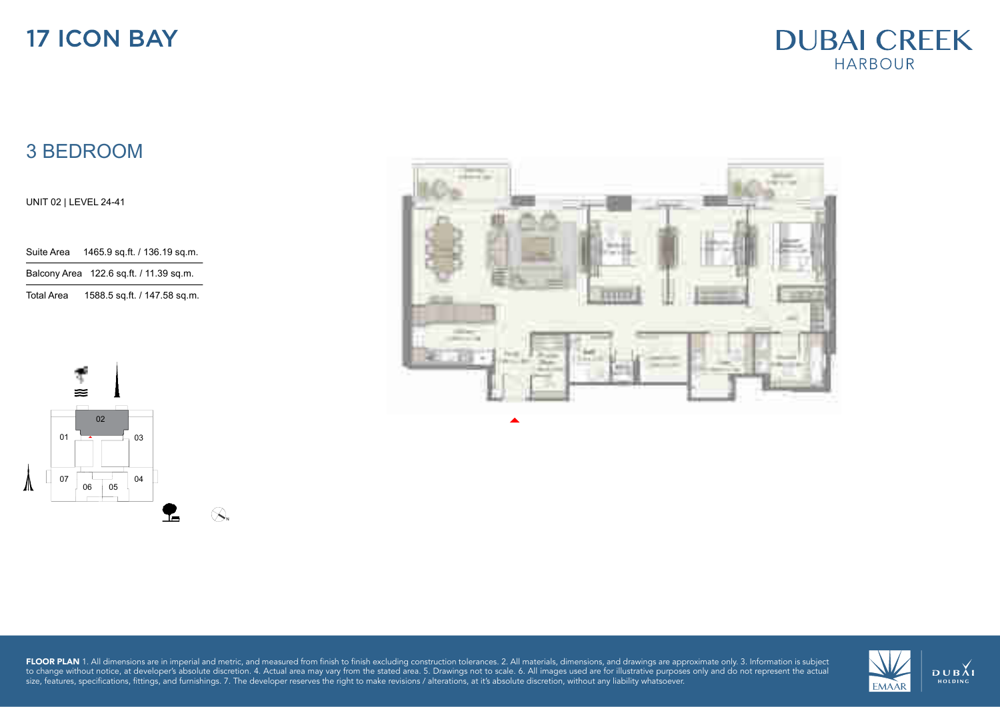![](_page_23_Picture_0.jpeg)

### **DUBAI CREEK HARBOUR**

#### 3 BEDROOM

UNIT 02 | LEVEL 24-41

Suite Area 1465.9 sq.ft. / 136.19 sq.m. Balcony Area 122.6 sq.ft. / 11.39 sq.m. Total Area 1588.5 sq.ft. / 147.58 sq.m.

![](_page_23_Figure_5.jpeg)

![](_page_23_Picture_6.jpeg)

![](_page_23_Picture_8.jpeg)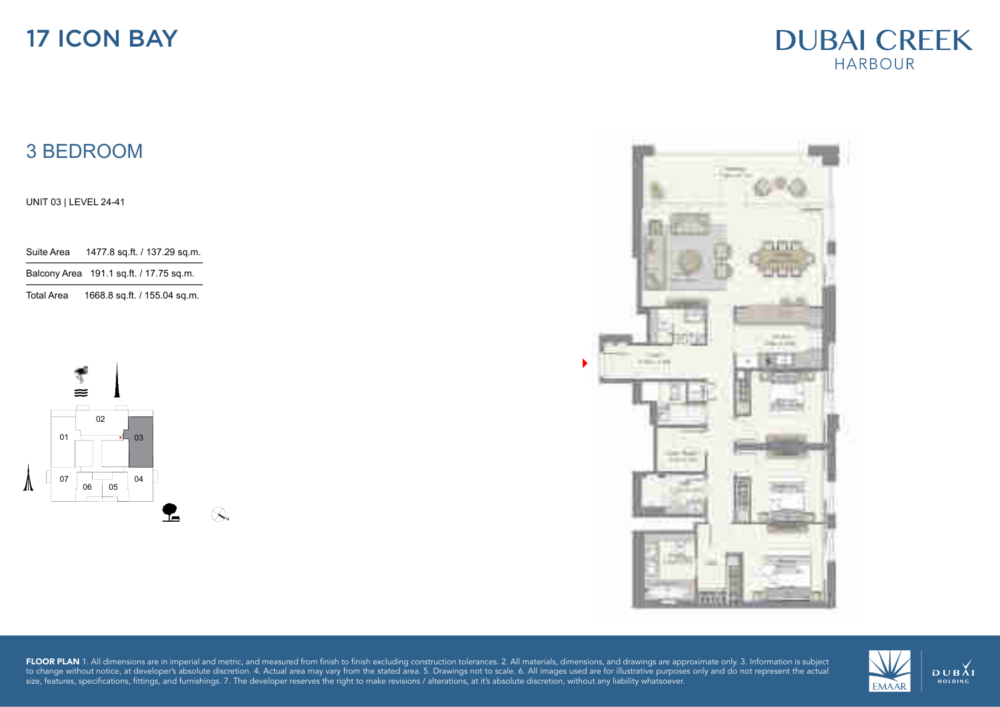![](_page_24_Picture_0.jpeg)

UNIT 03 | LEVEL 24-41

Suite Area 1477.8 sq.ft. / 137.29 sq.m. Balcony Area 191.1 sq.ft. / 17.75 sq.m. Total Area 1668.8 sq.ft. / 155.04 sq.m.

![](_page_24_Figure_4.jpeg)

![](_page_24_Picture_5.jpeg)

**FLOOR PLAN** 1. All dimensions are in imperial and metric, and measured from finish to finish excluding construction tolerances. 2. All materials, dimensions, and drawings are approximate only. 3. Information is subject<br>to size, features, specifications, fittings, and furnishings. 7. The developer reserves the right to make revisions / alterations, at it's absolute discretion, without any liability whatsoever.

![](_page_24_Picture_7.jpeg)

### **DUBAI CREEK HARBOUR**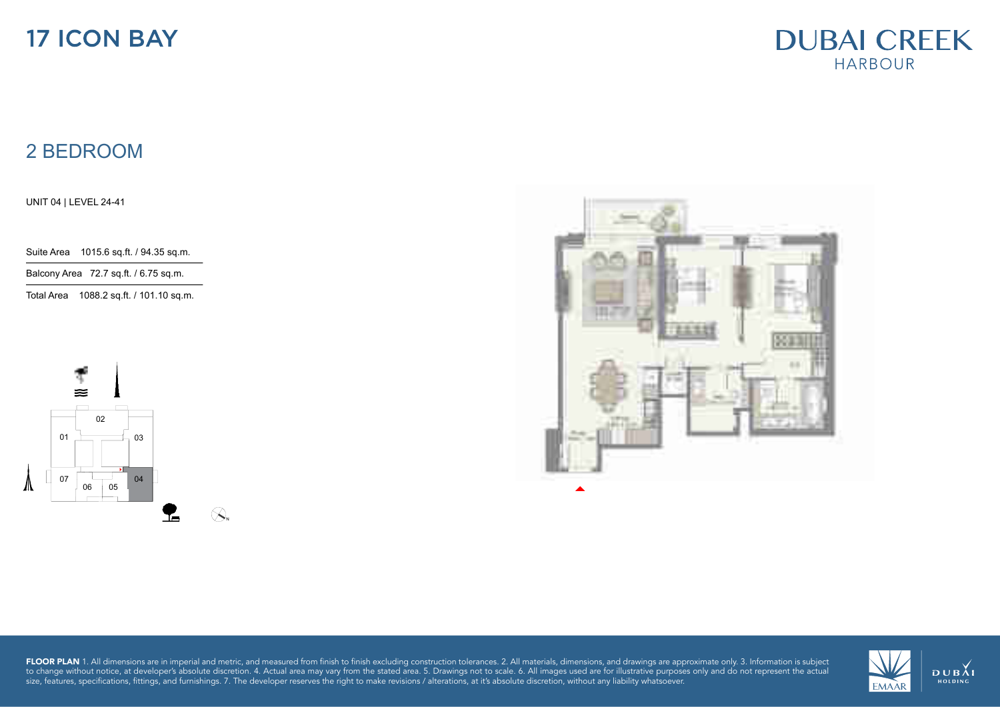![](_page_25_Picture_0.jpeg)

![](_page_25_Picture_1.jpeg)

UNIT 04 | LEVEL 24-41

Suite Area 1015.6 sq.ft. / 94.35 sq.m.

Balcony Area 72.7 sq.ft. / 6.75 sq.m.

Total Area 1088.2 sq.ft. / 101.10 sq.m.

![](_page_25_Figure_7.jpeg)

![](_page_25_Picture_8.jpeg)

![](_page_25_Picture_10.jpeg)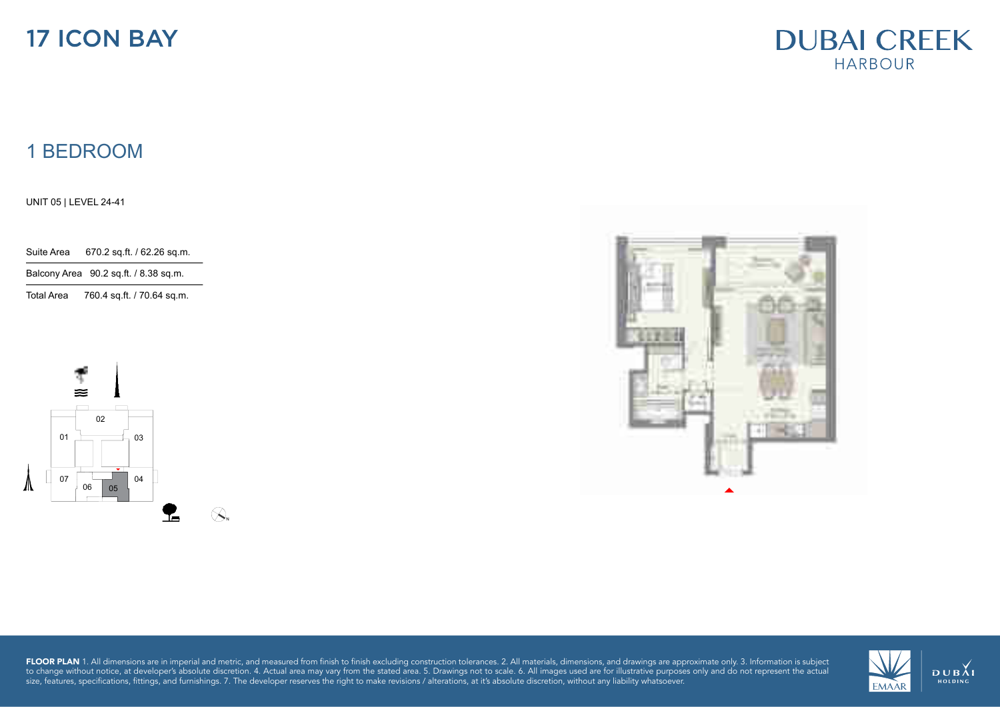![](_page_26_Picture_0.jpeg)

![](_page_26_Picture_1.jpeg)

UNIT 05 | LEVEL 24-41

Suite Area 670.2 sq.ft. / 62.26 sq.m.

Balcony Area 90.2 sq.ft. / 8.38 sq.m.

Total Area 760.4 sq.ft. / 70.64 sq.m.

![](_page_26_Figure_7.jpeg)

![](_page_26_Picture_8.jpeg)

![](_page_26_Picture_10.jpeg)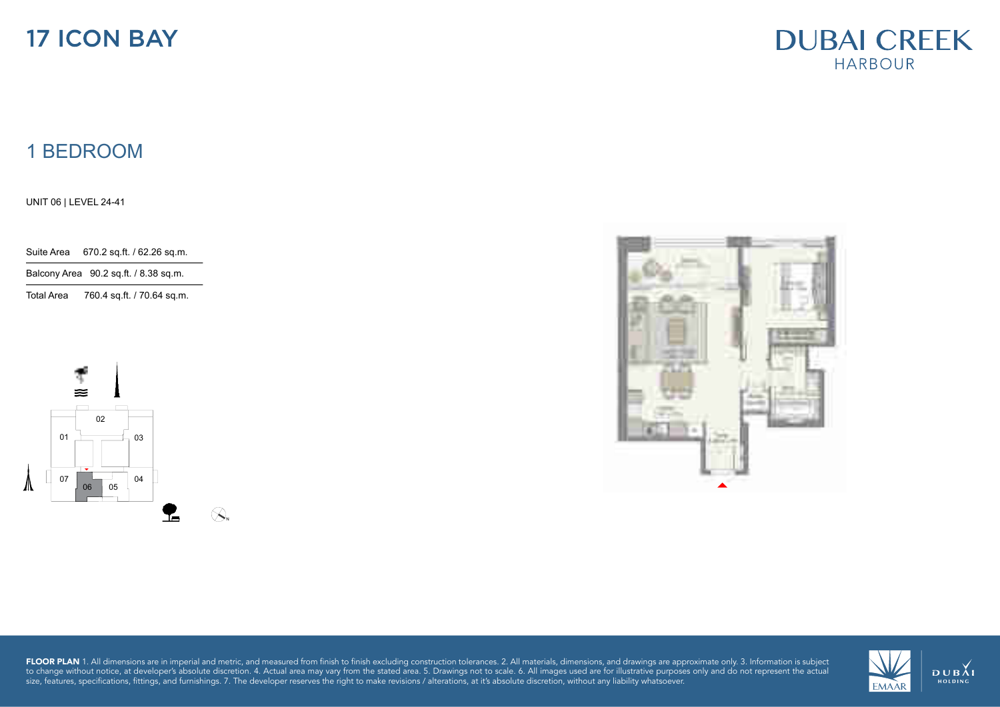![](_page_27_Picture_0.jpeg)

![](_page_27_Picture_1.jpeg)

UNIT 06 | LEVEL 24-41

Suite Area 670.2 sq.ft. / 62.26 sq.m.

Balcony Area 90.2 sq.ft. / 8.38 sq.m.

Total Area 760.4 sq.ft. / 70.64 sq.m.

![](_page_27_Figure_7.jpeg)

![](_page_27_Picture_8.jpeg)

![](_page_27_Picture_10.jpeg)